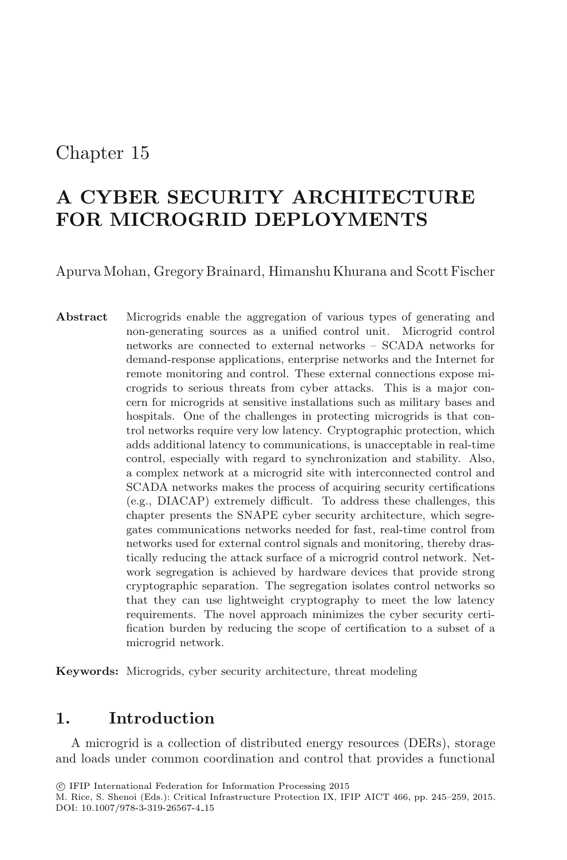# Chapter 15

# **A CYBER SECURITY ARCHITECTURE FOR MICROGRID DEPLOYMENTS**

Apurva Mohan, Gregory Brainard, Himanshu Khurana and Scott Fischer

**Abstract** Microgrids enable the aggregation of various types of generating and non-generating sources as a unified control unit. Microgrid control networks are connected to external networks – SCADA networks for demand-response applications, enterprise networks and the Internet for remote monitoring and control. These external connections expose microgrids to serious threats from cyber attacks. This is a major concern for microgrids at sensitive installations such as military bases and hospitals. One of the challenges in protecting microgrids is that control networks require very low latency. Cryptographic protection, which adds additional latency to communications, is unacceptable in real-time control, especially with regard to synchronization and stability. Also, a complex network at a microgrid site with interconnected control and SCADA networks makes the process of acquiring security certifications (e.g., DIACAP) extremely difficult. To address these challenges, this chapter presents the SNAPE cyber security architecture, which segregates communications networks needed for fast, real-time control from networks used for external control signals and monitoring, thereby drastically reducing the attack surface of a microgrid control network. Network segregation is achieved by hardware devices that provide strong cryptographic separation. The segregation isolates control networks so that they can use lightweight cryptography to meet the low latency requirements. The novel approach minimizes the cyber security certification burden by reducing the scope of certification to a subset of a microgrid network.

**Keywords:** Microgrids, cyber security architecture, threat modeling

#### **1. Introduction**

A microgrid is a collection of distributed energy resources (DERs), storage and loads under common coordination and control that provides a functional

<sup>-</sup>c IFIP International Federation for Information Processing 2015

M. Rice, S. Shenoi (Eds.): Critical Infrastructure Protection IX, IFIP AICT 466, pp. 245–259, 2015. DOI: 10.1007/978-3-319-26567-4 15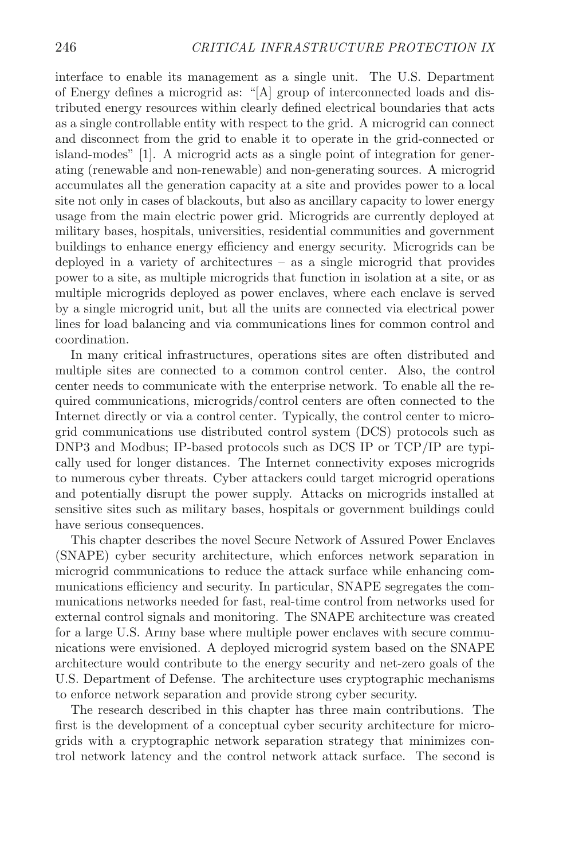interface to enable its management as a single unit. The U.S. Department of Energy defines a microgrid as: "[A] group of interconnected loads and distributed energy resources within clearly defined electrical boundaries that acts as a single controllable entity with respect to the grid. A microgrid can connect and disconnect from the grid to enable it to operate in the grid-connected or island-modes" [1]. A microgrid acts as a single point of integration for generating (renewable and non-renewable) and non-generating sources. A microgrid accumulates all the generation capacity at a site and provides power to a local site not only in cases of blackouts, but also as ancillary capacity to lower energy usage from the main electric power grid. Microgrids are currently deployed at military bases, hospitals, universities, residential communities and government buildings to enhance energy efficiency and energy security. Microgrids can be deployed in a variety of architectures – as a single microgrid that provides power to a site, as multiple microgrids that function in isolation at a site, or as multiple microgrids deployed as power enclaves, where each enclave is served by a single microgrid unit, but all the units are connected via electrical power lines for load balancing and via communications lines for common control and coordination.

In many critical infrastructures, operations sites are often distributed and multiple sites are connected to a common control center. Also, the control center needs to communicate with the enterprise network. To enable all the required communications, microgrids/control centers are often connected to the Internet directly or via a control center. Typically, the control center to microgrid communications use distributed control system (DCS) protocols such as DNP3 and Modbus; IP-based protocols such as DCS IP or TCP/IP are typically used for longer distances. The Internet connectivity exposes microgrids to numerous cyber threats. Cyber attackers could target microgrid operations and potentially disrupt the power supply. Attacks on microgrids installed at sensitive sites such as military bases, hospitals or government buildings could have serious consequences.

This chapter describes the novel Secure Network of Assured Power Enclaves (SNAPE) cyber security architecture, which enforces network separation in microgrid communications to reduce the attack surface while enhancing communications efficiency and security. In particular, SNAPE segregates the communications networks needed for fast, real-time control from networks used for external control signals and monitoring. The SNAPE architecture was created for a large U.S. Army base where multiple power enclaves with secure communications were envisioned. A deployed microgrid system based on the SNAPE architecture would contribute to the energy security and net-zero goals of the U.S. Department of Defense. The architecture uses cryptographic mechanisms to enforce network separation and provide strong cyber security.

The research described in this chapter has three main contributions. The first is the development of a conceptual cyber security architecture for microgrids with a cryptographic network separation strategy that minimizes control network latency and the control network attack surface. The second is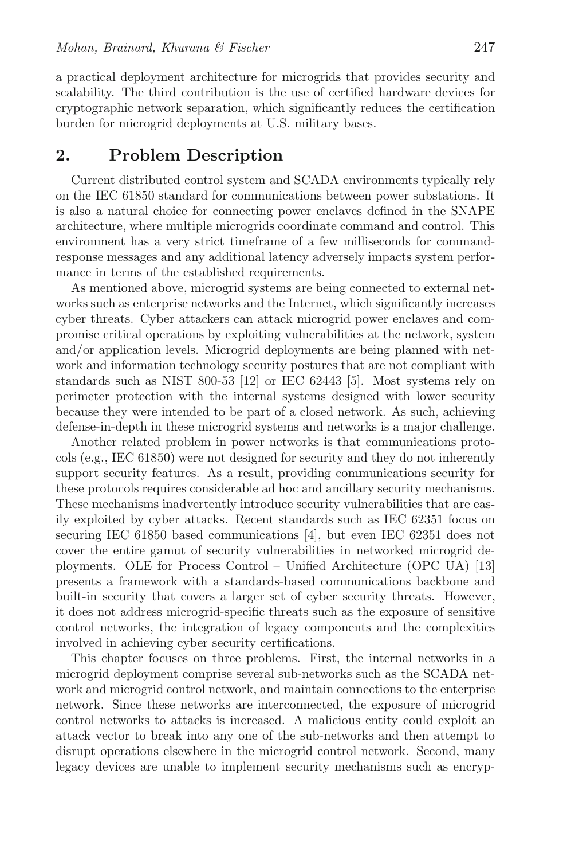a practical deployment architecture for microgrids that provides security and scalability. The third contribution is the use of certified hardware devices for cryptographic network separation, which significantly reduces the certification burden for microgrid deployments at U.S. military bases.

#### **2. Problem Description**

Current distributed control system and SCADA environments typically rely on the IEC 61850 standard for communications between power substations. It is also a natural choice for connecting power enclaves defined in the SNAPE architecture, where multiple microgrids coordinate command and control. This environment has a very strict timeframe of a few milliseconds for commandresponse messages and any additional latency adversely impacts system performance in terms of the established requirements.

As mentioned above, microgrid systems are being connected to external networks such as enterprise networks and the Internet, which significantly increases cyber threats. Cyber attackers can attack microgrid power enclaves and compromise critical operations by exploiting vulnerabilities at the network, system and/or application levels. Microgrid deployments are being planned with network and information technology security postures that are not compliant with standards such as NIST 800-53 [12] or IEC 62443 [5]. Most systems rely on perimeter protection with the internal systems designed with lower security because they were intended to be part of a closed network. As such, achieving defense-in-depth in these microgrid systems and networks is a major challenge.

Another related problem in power networks is that communications protocols (e.g., IEC 61850) were not designed for security and they do not inherently support security features. As a result, providing communications security for these protocols requires considerable ad hoc and ancillary security mechanisms. These mechanisms inadvertently introduce security vulnerabilities that are easily exploited by cyber attacks. Recent standards such as IEC 62351 focus on securing IEC 61850 based communications [4], but even IEC 62351 does not cover the entire gamut of security vulnerabilities in networked microgrid deployments. OLE for Process Control – Unified Architecture (OPC UA) [13] presents a framework with a standards-based communications backbone and built-in security that covers a larger set of cyber security threats. However, it does not address microgrid-specific threats such as the exposure of sensitive control networks, the integration of legacy components and the complexities involved in achieving cyber security certifications.

This chapter focuses on three problems. First, the internal networks in a microgrid deployment comprise several sub-networks such as the SCADA network and microgrid control network, and maintain connections to the enterprise network. Since these networks are interconnected, the exposure of microgrid control networks to attacks is increased. A malicious entity could exploit an attack vector to break into any one of the sub-networks and then attempt to disrupt operations elsewhere in the microgrid control network. Second, many legacy devices are unable to implement security mechanisms such as encryp-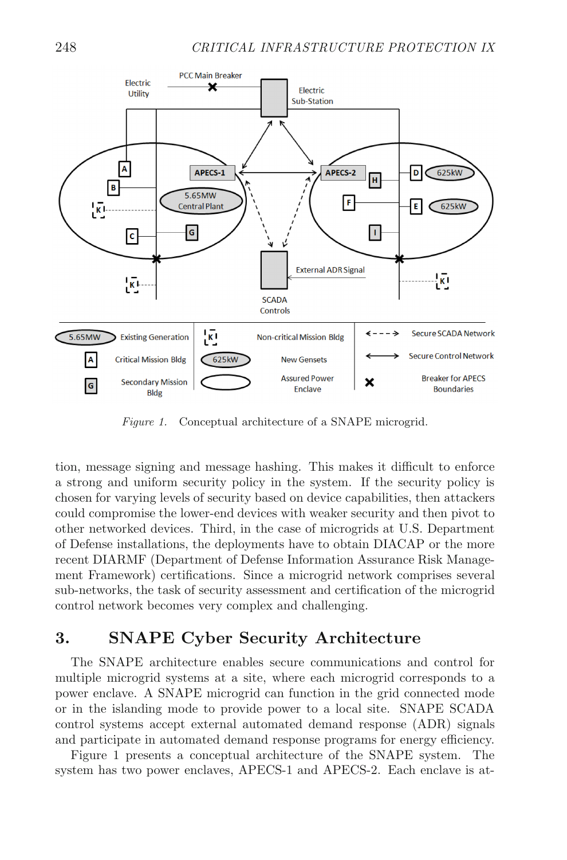

Figure 1. Conceptual architecture of a SNAPE microgrid.

tion, message signing and message hashing. This makes it difficult to enforce a strong and uniform security policy in the system. If the security policy is chosen for varying levels of security based on device capabilities, then attackers could compromise the lower-end devices with weaker security and then pivot to other networked devices. Third, in the case of microgrids at U.S. Department of Defense installations, the deployments have to obtain DIACAP or the more recent DIARMF (Department of Defense Information Assurance Risk Management Framework) certifications. Since a microgrid network comprises several sub-networks, the task of security assessment and certification of the microgrid control network becomes very complex and challenging.

# **3. SNAPE Cyber Security Architecture**

The SNAPE architecture enables secure communications and control for multiple microgrid systems at a site, where each microgrid corresponds to a power enclave. A SNAPE microgrid can function in the grid connected mode or in the islanding mode to provide power to a local site. SNAPE SCADA control systems accept external automated demand response (ADR) signals and participate in automated demand response programs for energy efficiency.

Figure 1 presents a conceptual architecture of the SNAPE system. The system has two power enclaves, APECS-1 and APECS-2. Each enclave is at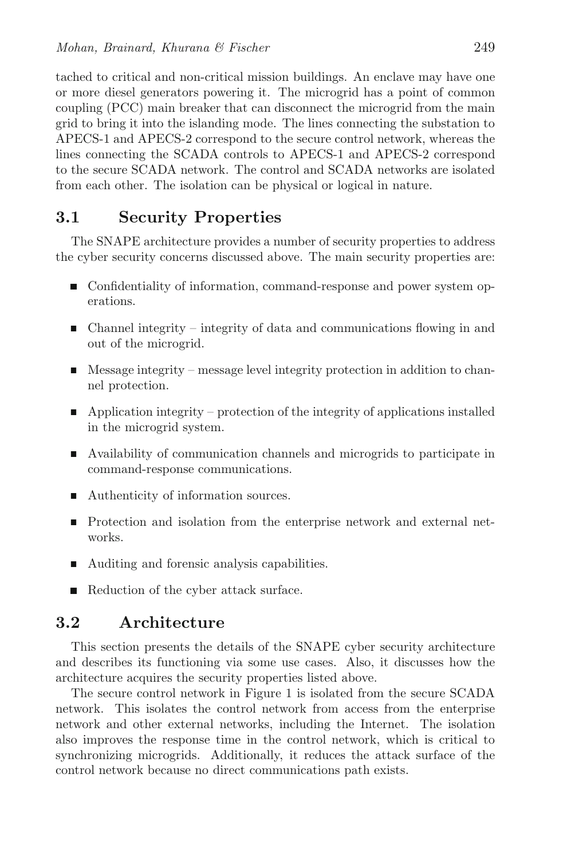tached to critical and non-critical mission buildings. An enclave may have one or more diesel generators powering it. The microgrid has a point of common coupling (PCC) main breaker that can disconnect the microgrid from the main grid to bring it into the islanding mode. The lines connecting the substation to APECS-1 and APECS-2 correspond to the secure control network, whereas the lines connecting the SCADA controls to APECS-1 and APECS-2 correspond to the secure SCADA network. The control and SCADA networks are isolated from each other. The isolation can be physical or logical in nature.

# **3.1 Security Properties**

The SNAPE architecture provides a number of security properties to address the cyber security concerns discussed above. The main security properties are:

- Confidentiality of information, command-response and power system operations.
- $\blacksquare$  Channel integrity integrity of data and communications flowing in and out of the microgrid.
- $\blacksquare$  Message integrity message level integrity protection in addition to channel protection.
- $\blacksquare$  Application integrity protection of the integrity of applications installed in the microgrid system.
- Availability of communication channels and microgrids to participate in command-response communications.
- $\blacksquare$ Authenticity of information sources.
- Protection and isolation from the enterprise network and external networks.
- Auditing and forensic analysis capabilities.  $\blacksquare$
- $\blacksquare$ Reduction of the cyber attack surface.

# **3.2 Architecture**

This section presents the details of the SNAPE cyber security architecture and describes its functioning via some use cases. Also, it discusses how the architecture acquires the security properties listed above.

The secure control network in Figure 1 is isolated from the secure SCADA network. This isolates the control network from access from the enterprise network and other external networks, including the Internet. The isolation also improves the response time in the control network, which is critical to synchronizing microgrids. Additionally, it reduces the attack surface of the control network because no direct communications path exists.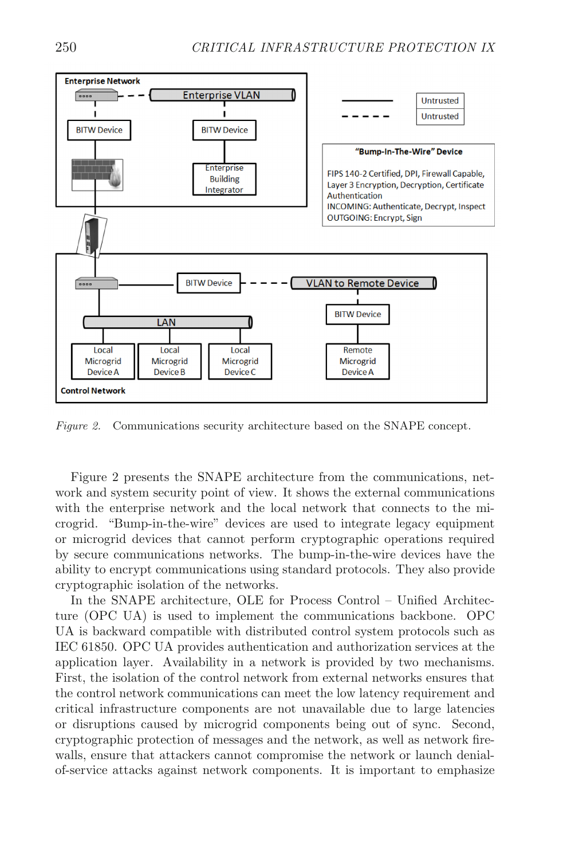

Figure 2. Communications security architecture based on the SNAPE concept.

Figure 2 presents the SNAPE architecture from the communications, network and system security point of view. It shows the external communications with the enterprise network and the local network that connects to the microgrid. "Bump-in-the-wire" devices are used to integrate legacy equipment or microgrid devices that cannot perform cryptographic operations required by secure communications networks. The bump-in-the-wire devices have the ability to encrypt communications using standard protocols. They also provide cryptographic isolation of the networks.

In the SNAPE architecture, OLE for Process Control – Unified Architecture (OPC UA) is used to implement the communications backbone. OPC UA is backward compatible with distributed control system protocols such as IEC 61850. OPC UA provides authentication and authorization services at the application layer. Availability in a network is provided by two mechanisms. First, the isolation of the control network from external networks ensures that the control network communications can meet the low latency requirement and critical infrastructure components are not unavailable due to large latencies or disruptions caused by microgrid components being out of sync. Second, cryptographic protection of messages and the network, as well as network firewalls, ensure that attackers cannot compromise the network or launch denialof-service attacks against network components. It is important to emphasize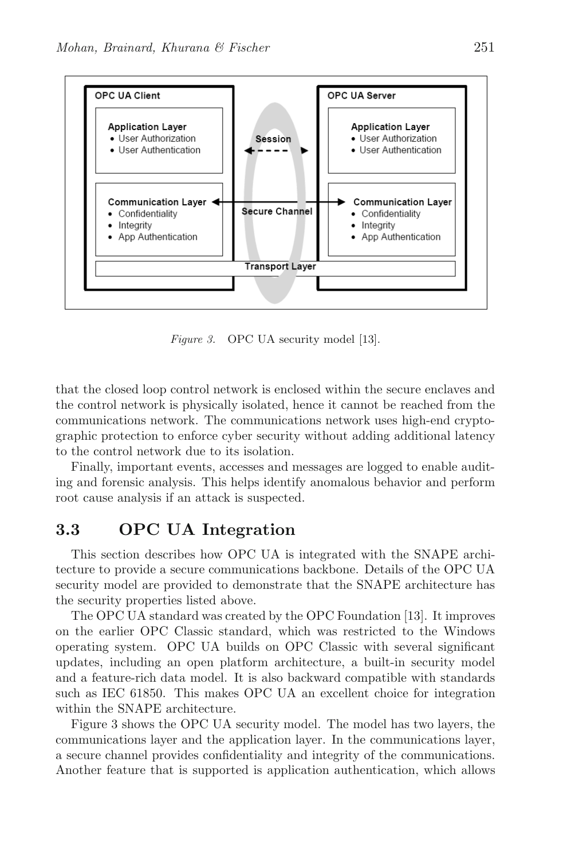

Figure 3. OPC UA security model [13].

that the closed loop control network is enclosed within the secure enclaves and the control network is physically isolated, hence it cannot be reached from the communications network. The communications network uses high-end cryptographic protection to enforce cyber security without adding additional latency to the control network due to its isolation.

Finally, important events, accesses and messages are logged to enable auditing and forensic analysis. This helps identify anomalous behavior and perform root cause analysis if an attack is suspected.

# **3.3 OPC UA Integration**

This section describes how OPC UA is integrated with the SNAPE architecture to provide a secure communications backbone. Details of the OPC UA security model are provided to demonstrate that the SNAPE architecture has the security properties listed above.

The OPC UA standard was created by the OPC Foundation [13]. It improves on the earlier OPC Classic standard, which was restricted to the Windows operating system. OPC UA builds on OPC Classic with several significant updates, including an open platform architecture, a built-in security model and a feature-rich data model. It is also backward compatible with standards such as IEC 61850. This makes OPC UA an excellent choice for integration within the SNAPE architecture.

Figure 3 shows the OPC UA security model. The model has two layers, the communications layer and the application layer. In the communications layer, a secure channel provides confidentiality and integrity of the communications. Another feature that is supported is application authentication, which allows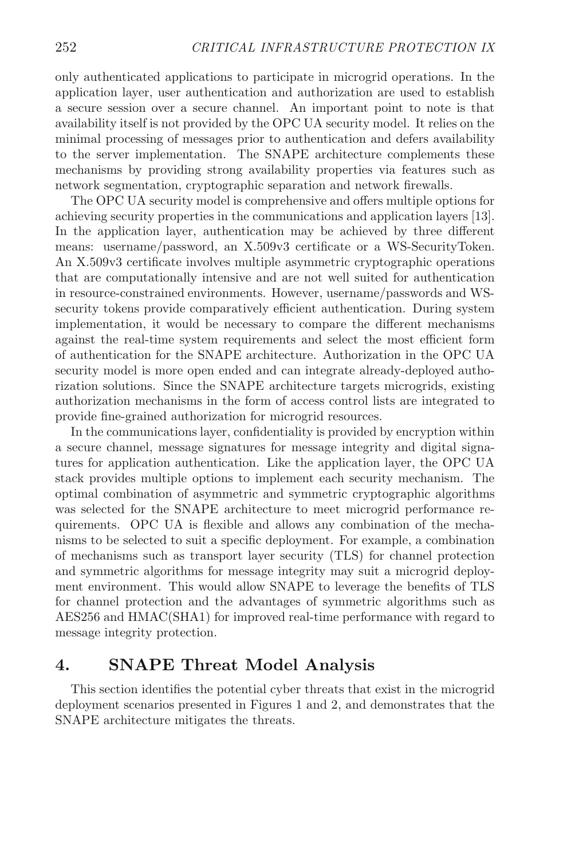only authenticated applications to participate in microgrid operations. In the application layer, user authentication and authorization are used to establish a secure session over a secure channel. An important point to note is that availability itself is not provided by the OPC UA security model. It relies on the minimal processing of messages prior to authentication and defers availability to the server implementation. The SNAPE architecture complements these mechanisms by providing strong availability properties via features such as network segmentation, cryptographic separation and network firewalls.

The OPC UA security model is comprehensive and offers multiple options for achieving security properties in the communications and application layers [13]. In the application layer, authentication may be achieved by three different means: username/password, an X.509v3 certificate or a WS-SecurityToken. An X.509v3 certificate involves multiple asymmetric cryptographic operations that are computationally intensive and are not well suited for authentication in resource-constrained environments. However, username/passwords and WSsecurity tokens provide comparatively efficient authentication. During system implementation, it would be necessary to compare the different mechanisms against the real-time system requirements and select the most efficient form of authentication for the SNAPE architecture. Authorization in the OPC UA security model is more open ended and can integrate already-deployed authorization solutions. Since the SNAPE architecture targets microgrids, existing authorization mechanisms in the form of access control lists are integrated to provide fine-grained authorization for microgrid resources.

In the communications layer, confidentiality is provided by encryption within a secure channel, message signatures for message integrity and digital signatures for application authentication. Like the application layer, the OPC UA stack provides multiple options to implement each security mechanism. The optimal combination of asymmetric and symmetric cryptographic algorithms was selected for the SNAPE architecture to meet microgrid performance requirements. OPC UA is flexible and allows any combination of the mechanisms to be selected to suit a specific deployment. For example, a combination of mechanisms such as transport layer security (TLS) for channel protection and symmetric algorithms for message integrity may suit a microgrid deployment environment. This would allow SNAPE to leverage the benefits of TLS for channel protection and the advantages of symmetric algorithms such as AES256 and HMAC(SHA1) for improved real-time performance with regard to message integrity protection.

# **4. SNAPE Threat Model Analysis**

This section identifies the potential cyber threats that exist in the microgrid deployment scenarios presented in Figures 1 and 2, and demonstrates that the SNAPE architecture mitigates the threats.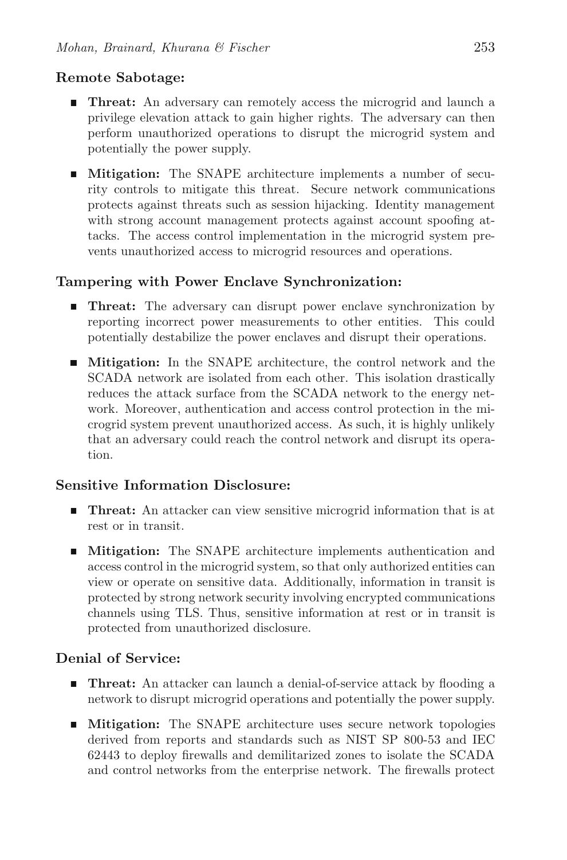#### **Remote Sabotage:**

- **Threat:** An adversary can remotely access the microgrid and launch a privilege elevation attack to gain higher rights. The adversary can then perform unauthorized operations to disrupt the microgrid system and potentially the power supply.
- **Mitigation:** The SNAPE architecture implements a number of security controls to mitigate this threat. Secure network communications protects against threats such as session hijacking. Identity management with strong account management protects against account spoofing attacks. The access control implementation in the microgrid system prevents unauthorized access to microgrid resources and operations.

#### **Tampering with Power Enclave Synchronization:**

- **Threat:** The adversary can disrupt power enclave synchronization by reporting incorrect power measurements to other entities. This could potentially destabilize the power enclaves and disrupt their operations.
- **Mitigation:** In the SNAPE architecture, the control network and the SCADA network are isolated from each other. This isolation drastically reduces the attack surface from the SCADA network to the energy network. Moreover, authentication and access control protection in the microgrid system prevent unauthorized access. As such, it is highly unlikely that an adversary could reach the control network and disrupt its operation.

#### **Sensitive Information Disclosure:**

- **Threat:** An attacker can view sensitive microgrid information that is at rest or in transit.
- **Mitigation:** The SNAPE architecture implements authentication and access control in the microgrid system, so that only authorized entities can view or operate on sensitive data. Additionally, information in transit is protected by strong network security involving encrypted communications channels using TLS. Thus, sensitive information at rest or in transit is protected from unauthorized disclosure.

#### **Denial of Service:**

- **Threat:** An attacker can launch a denial-of-service attack by flooding a network to disrupt microgrid operations and potentially the power supply.
- **Mitigation:** The SNAPE architecture uses secure network topologies derived from reports and standards such as NIST SP 800-53 and IEC 62443 to deploy firewalls and demilitarized zones to isolate the SCADA and control networks from the enterprise network. The firewalls protect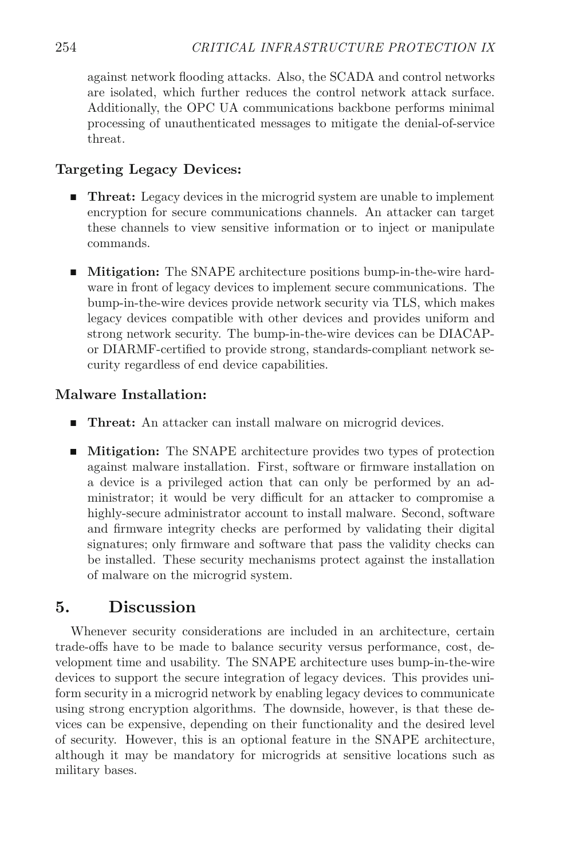against network flooding attacks. Also, the SCADA and control networks are isolated, which further reduces the control network attack surface. Additionally, the OPC UA communications backbone performs minimal processing of unauthenticated messages to mitigate the denial-of-service threat.

### **Targeting Legacy Devices:**

- **Threat:** Legacy devices in the microgrid system are unable to implement encryption for secure communications channels. An attacker can target these channels to view sensitive information or to inject or manipulate commands.
- **Mitigation:** The SNAPE architecture positions bump-in-the-wire hardware in front of legacy devices to implement secure communications. The bump-in-the-wire devices provide network security via TLS, which makes legacy devices compatible with other devices and provides uniform and strong network security. The bump-in-the-wire devices can be DIACAPor DIARMF-certified to provide strong, standards-compliant network security regardless of end device capabilities.

#### **Malware Installation:**

- **Threat:** An attacker can install malware on microgrid devices.
- **Mitigation:** The SNAPE architecture provides two types of protection against malware installation. First, software or firmware installation on a device is a privileged action that can only be performed by an administrator; it would be very difficult for an attacker to compromise a highly-secure administrator account to install malware. Second, software and firmware integrity checks are performed by validating their digital signatures; only firmware and software that pass the validity checks can be installed. These security mechanisms protect against the installation of malware on the microgrid system.

# **5. Discussion**

Whenever security considerations are included in an architecture, certain trade-offs have to be made to balance security versus performance, cost, development time and usability. The SNAPE architecture uses bump-in-the-wire devices to support the secure integration of legacy devices. This provides uniform security in a microgrid network by enabling legacy devices to communicate using strong encryption algorithms. The downside, however, is that these devices can be expensive, depending on their functionality and the desired level of security. However, this is an optional feature in the SNAPE architecture, although it may be mandatory for microgrids at sensitive locations such as military bases.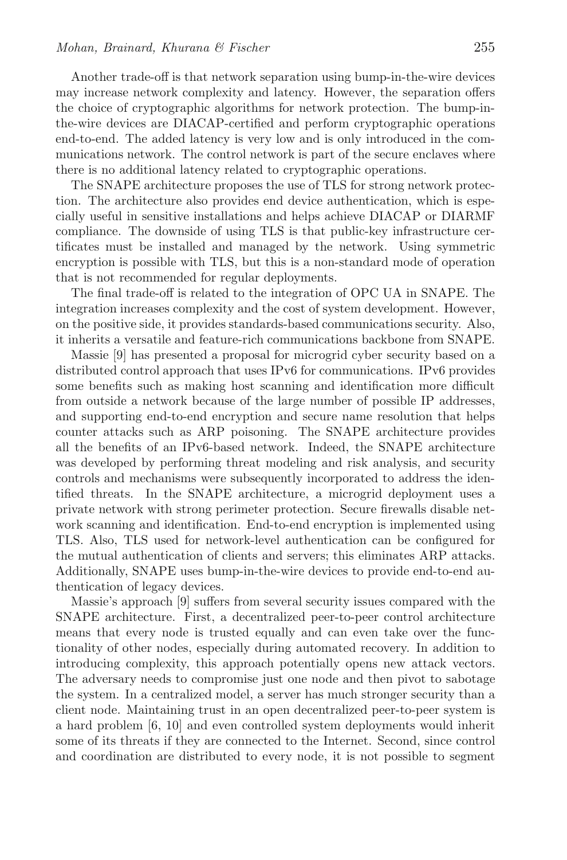Another trade-off is that network separation using bump-in-the-wire devices may increase network complexity and latency. However, the separation offers the choice of cryptographic algorithms for network protection. The bump-inthe-wire devices are DIACAP-certified and perform cryptographic operations end-to-end. The added latency is very low and is only introduced in the communications network. The control network is part of the secure enclaves where there is no additional latency related to cryptographic operations.

The SNAPE architecture proposes the use of TLS for strong network protection. The architecture also provides end device authentication, which is especially useful in sensitive installations and helps achieve DIACAP or DIARMF compliance. The downside of using TLS is that public-key infrastructure certificates must be installed and managed by the network. Using symmetric encryption is possible with TLS, but this is a non-standard mode of operation that is not recommended for regular deployments.

The final trade-off is related to the integration of OPC UA in SNAPE. The integration increases complexity and the cost of system development. However, on the positive side, it provides standards-based communications security. Also, it inherits a versatile and feature-rich communications backbone from SNAPE.

Massie [9] has presented a proposal for microgrid cyber security based on a distributed control approach that uses IPv6 for communications. IPv6 provides some benefits such as making host scanning and identification more difficult from outside a network because of the large number of possible IP addresses, and supporting end-to-end encryption and secure name resolution that helps counter attacks such as ARP poisoning. The SNAPE architecture provides all the benefits of an IPv6-based network. Indeed, the SNAPE architecture was developed by performing threat modeling and risk analysis, and security controls and mechanisms were subsequently incorporated to address the identified threats. In the SNAPE architecture, a microgrid deployment uses a private network with strong perimeter protection. Secure firewalls disable network scanning and identification. End-to-end encryption is implemented using TLS. Also, TLS used for network-level authentication can be configured for the mutual authentication of clients and servers; this eliminates ARP attacks. Additionally, SNAPE uses bump-in-the-wire devices to provide end-to-end authentication of legacy devices.

Massie's approach [9] suffers from several security issues compared with the SNAPE architecture. First, a decentralized peer-to-peer control architecture means that every node is trusted equally and can even take over the functionality of other nodes, especially during automated recovery. In addition to introducing complexity, this approach potentially opens new attack vectors. The adversary needs to compromise just one node and then pivot to sabotage the system. In a centralized model, a server has much stronger security than a client node. Maintaining trust in an open decentralized peer-to-peer system is a hard problem [6, 10] and even controlled system deployments would inherit some of its threats if they are connected to the Internet. Second, since control and coordination are distributed to every node, it is not possible to segment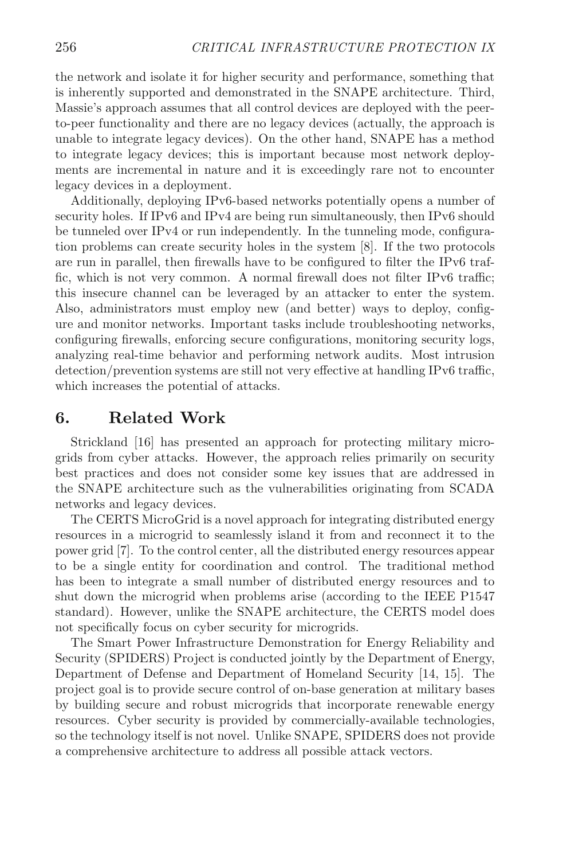the network and isolate it for higher security and performance, something that is inherently supported and demonstrated in the SNAPE architecture. Third, Massie's approach assumes that all control devices are deployed with the peerto-peer functionality and there are no legacy devices (actually, the approach is unable to integrate legacy devices). On the other hand, SNAPE has a method to integrate legacy devices; this is important because most network deployments are incremental in nature and it is exceedingly rare not to encounter legacy devices in a deployment.

Additionally, deploying IPv6-based networks potentially opens a number of security holes. If IPv6 and IPv4 are being run simultaneously, then IPv6 should be tunneled over IPv4 or run independently. In the tunneling mode, configuration problems can create security holes in the system [8]. If the two protocols are run in parallel, then firewalls have to be configured to filter the IPv6 traffic, which is not very common. A normal firewall does not filter IPv6 traffic; this insecure channel can be leveraged by an attacker to enter the system. Also, administrators must employ new (and better) ways to deploy, configure and monitor networks. Important tasks include troubleshooting networks, configuring firewalls, enforcing secure configurations, monitoring security logs, analyzing real-time behavior and performing network audits. Most intrusion detection/prevention systems are still not very effective at handling IPv6 traffic, which increases the potential of attacks.

# **6. Related Work**

Strickland [16] has presented an approach for protecting military microgrids from cyber attacks. However, the approach relies primarily on security best practices and does not consider some key issues that are addressed in the SNAPE architecture such as the vulnerabilities originating from SCADA networks and legacy devices.

The CERTS MicroGrid is a novel approach for integrating distributed energy resources in a microgrid to seamlessly island it from and reconnect it to the power grid [7]. To the control center, all the distributed energy resources appear to be a single entity for coordination and control. The traditional method has been to integrate a small number of distributed energy resources and to shut down the microgrid when problems arise (according to the IEEE P1547 standard). However, unlike the SNAPE architecture, the CERTS model does not specifically focus on cyber security for microgrids.

The Smart Power Infrastructure Demonstration for Energy Reliability and Security (SPIDERS) Project is conducted jointly by the Department of Energy, Department of Defense and Department of Homeland Security [14, 15]. The project goal is to provide secure control of on-base generation at military bases by building secure and robust microgrids that incorporate renewable energy resources. Cyber security is provided by commercially-available technologies, so the technology itself is not novel. Unlike SNAPE, SPIDERS does not provide a comprehensive architecture to address all possible attack vectors.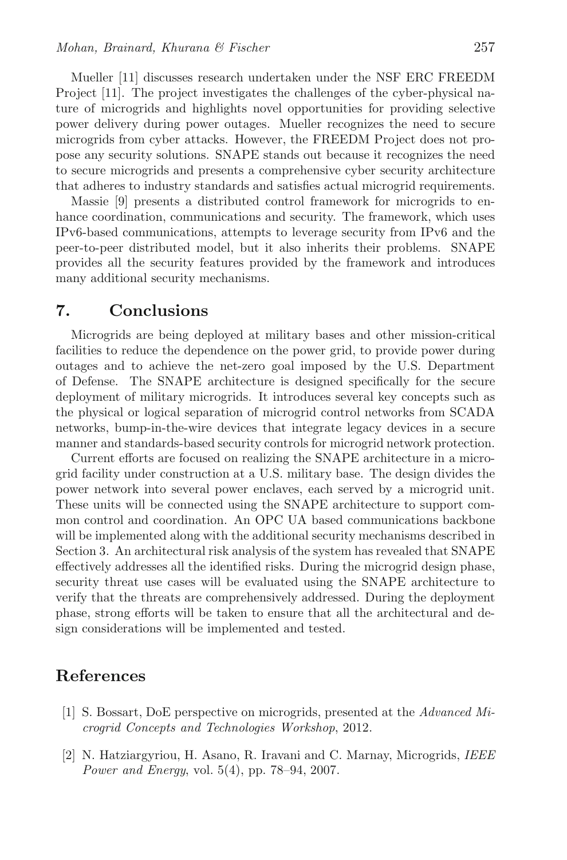Mueller [11] discusses research undertaken under the NSF ERC FREEDM Project [11]. The project investigates the challenges of the cyber-physical nature of microgrids and highlights novel opportunities for providing selective power delivery during power outages. Mueller recognizes the need to secure microgrids from cyber attacks. However, the FREEDM Project does not propose any security solutions. SNAPE stands out because it recognizes the need to secure microgrids and presents a comprehensive cyber security architecture that adheres to industry standards and satisfies actual microgrid requirements.

Massie [9] presents a distributed control framework for microgrids to enhance coordination, communications and security. The framework, which uses IPv6-based communications, attempts to leverage security from IPv6 and the peer-to-peer distributed model, but it also inherits their problems. SNAPE provides all the security features provided by the framework and introduces many additional security mechanisms.

#### **7. Conclusions**

Microgrids are being deployed at military bases and other mission-critical facilities to reduce the dependence on the power grid, to provide power during outages and to achieve the net-zero goal imposed by the U.S. Department of Defense. The SNAPE architecture is designed specifically for the secure deployment of military microgrids. It introduces several key concepts such as the physical or logical separation of microgrid control networks from SCADA networks, bump-in-the-wire devices that integrate legacy devices in a secure manner and standards-based security controls for microgrid network protection.

Current efforts are focused on realizing the SNAPE architecture in a microgrid facility under construction at a U.S. military base. The design divides the power network into several power enclaves, each served by a microgrid unit. These units will be connected using the SNAPE architecture to support common control and coordination. An OPC UA based communications backbone will be implemented along with the additional security mechanisms described in Section 3. An architectural risk analysis of the system has revealed that SNAPE effectively addresses all the identified risks. During the microgrid design phase, security threat use cases will be evaluated using the SNAPE architecture to verify that the threats are comprehensively addressed. During the deployment phase, strong efforts will be taken to ensure that all the architectural and design considerations will be implemented and tested.

#### **References**

- [1] S. Bossart, DoE perspective on microgrids, presented at the Advanced Microgrid Concepts and Technologies Workshop, 2012.
- [2] N. Hatziargyriou, H. Asano, R. Iravani and C. Marnay, Microgrids, IEEE Power and Energy, vol. 5(4), pp. 78–94, 2007.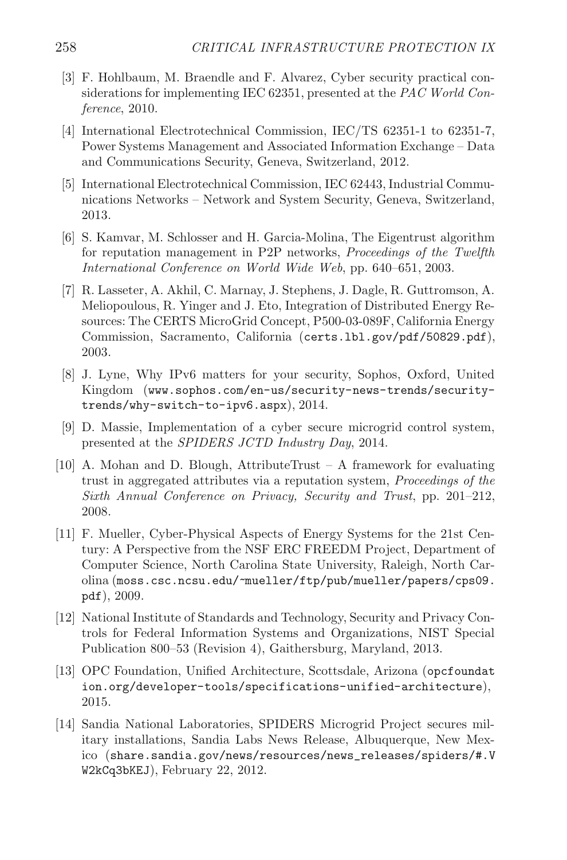- [3] F. Hohlbaum, M. Braendle and F. Alvarez, Cyber security practical considerations for implementing IEC 62351, presented at the PAC World Conference, 2010.
- [4] International Electrotechnical Commission, IEC/TS 62351-1 to 62351-7, Power Systems Management and Associated Information Exchange – Data and Communications Security, Geneva, Switzerland, 2012.
- [5] International Electrotechnical Commission, IEC 62443, Industrial Communications Networks – Network and System Security, Geneva, Switzerland, 2013.
- [6] S. Kamvar, M. Schlosser and H. Garcia-Molina, The Eigentrust algorithm for reputation management in P2P networks, Proceedings of the Twelfth International Conference on World Wide Web, pp. 640–651, 2003.
- [7] R. Lasseter, A. Akhil, C. Marnay, J. Stephens, J. Dagle, R. Guttromson, A. Meliopoulous, R. Yinger and J. Eto, Integration of Distributed Energy Resources: The CERTS MicroGrid Concept, P500-03-089F, California Energy Commission, Sacramento, California (certs.lbl.gov/pdf/50829.pdf), 2003.
- [8] J. Lyne, Why IPv6 matters for your security, Sophos, Oxford, United Kingdom (www.sophos.com/en-us/security-news-trends/securitytrends/why-switch-to-ipv6.aspx), 2014.
- [9] D. Massie, Implementation of a cyber secure microgrid control system, presented at the SPIDERS JCTD Industry Day, 2014.
- [10] A. Mohan and D. Blough, AttributeTrust A framework for evaluating trust in aggregated attributes via a reputation system, Proceedings of the Sixth Annual Conference on Privacy, Security and Trust, pp. 201–212, 2008.
- [11] F. Mueller, Cyber-Physical Aspects of Energy Systems for the 21st Century: A Perspective from the NSF ERC FREEDM Project, Department of Computer Science, North Carolina State University, Raleigh, North Carolina (moss.csc.ncsu.edu/~mueller/ftp/pub/mueller/papers/cps09. pdf), 2009.
- [12] National Institute of Standards and Technology, Security and Privacy Controls for Federal Information Systems and Organizations, NIST Special Publication 800–53 (Revision 4), Gaithersburg, Maryland, 2013.
- [13] OPC Foundation, Unified Architecture, Scottsdale, Arizona (opcfoundat ion.org/developer-tools/specifications-unified-architecture), 2015.
- [14] Sandia National Laboratories, SPIDERS Microgrid Project secures military installations, Sandia Labs News Release, Albuquerque, New Mexico (share.sandia.gov/news/resources/news\_releases/spiders/#.V W2kCq3bKEJ), February 22, 2012.